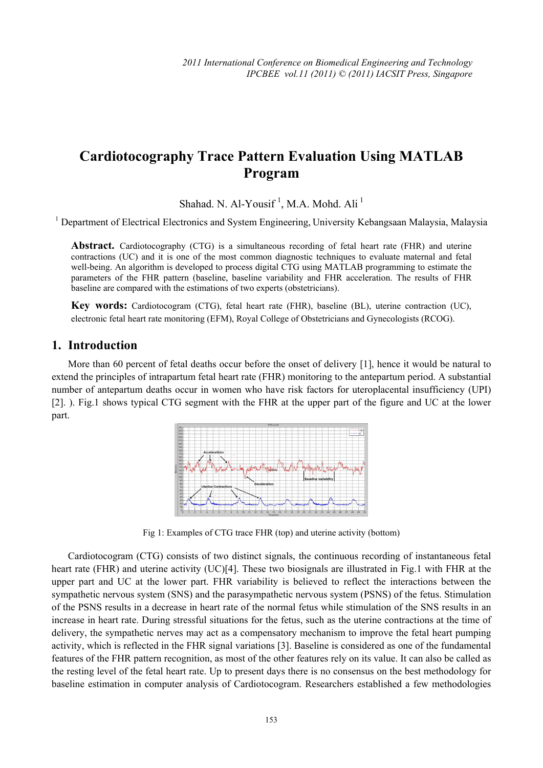# **Cardiotocography Trace Pattern Evaluation Using MATLAB Program**

Shahad. N. Al-Yousif<sup>1</sup>, M.A. Mohd. Ali<sup>1</sup>

<sup>1</sup> Department of Electrical Electronics and System Engineering, University Kebangsaan Malaysia, Malaysia

**Abstract.** Cardiotocography (CTG) is a simultaneous recording of fetal heart rate (FHR) and uterine contractions (UC) and it is one of the most common diagnostic techniques to evaluate maternal and fetal well-being. An algorithm is developed to process digital CTG using MATLAB programming to estimate the parameters of the FHR pattern (baseline, baseline variability and FHR acceleration. The results of FHR baseline are compared with the estimations of two experts (obstetricians).

**Key words:** Cardiotocogram (CTG), fetal heart rate (FHR), baseline (BL), uterine contraction (UC), electronic fetal heart rate monitoring (EFM), Royal College of Obstetricians and Gynecologists (RCOG).

### **1. Introduction**

More than 60 percent of fetal deaths occur before the onset of delivery [1], hence it would be natural to extend the principles of intrapartum fetal heart rate (FHR) monitoring to the antepartum period. A substantial number of antepartum deaths occur in women who have risk factors for uteroplacental insufficiency (UPI) [2]. ). Fig.1 shows typical CTG segment with the FHR at the upper part of the figure and UC at the lower part.



Fig 1: Examples of CTG trace FHR (top) and uterine activity (bottom)

Cardiotocogram (CTG) consists of two distinct signals, the continuous recording of instantaneous fetal heart rate (FHR) and uterine activity (UC)[4]. These two biosignals are illustrated in Fig.1 with FHR at the upper part and UC at the lower part. FHR variability is believed to reflect the interactions between the sympathetic nervous system (SNS) and the parasympathetic nervous system (PSNS) of the fetus. Stimulation of the PSNS results in a decrease in heart rate of the normal fetus while stimulation of the SNS results in an increase in heart rate. During stressful situations for the fetus, such as the uterine contractions at the time of delivery, the sympathetic nerves may act as a compensatory mechanism to improve the fetal heart pumping activity, which is reflected in the FHR signal variations [3]. Baseline is considered as one of the fundamental features of the FHR pattern recognition, as most of the other features rely on its value. It can also be called as the resting level of the fetal heart rate. Up to present days there is no consensus on the best methodology for baseline estimation in computer analysis of Cardiotocogram. Researchers established a few methodologies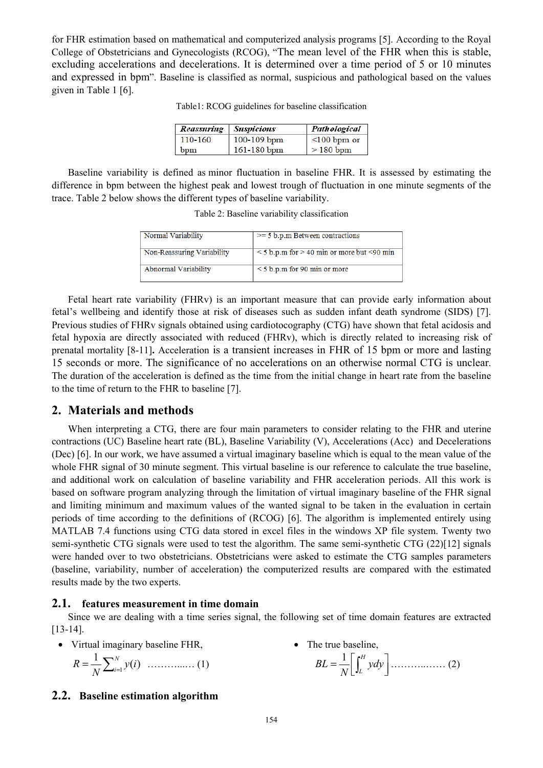for FHR estimation based on mathematical and computerized analysis programs [5]. According to the Royal College of Obstetricians and Gynecologists (RCOG), "The mean level of the FHR when this is stable, excluding accelerations and decelerations. It is determined over a time period of 5 or 10 minutes and expressed in bpm". Baseline is classified as normal, suspicious and pathological based on the values given in Table 1 [6].

| Reassuring | Suspicious      | Pathological      |  |  |
|------------|-----------------|-------------------|--|--|
| 110-160    | $100 - 109$ bpm | $\leq 100$ bpm or |  |  |
| bpm        | 161-180 bpm     | $>180$ bpm        |  |  |

Baseline variability is defined as minor fluctuation in baseline FHR. It is assessed by estimating the difference in bpm between the highest peak and lowest trough of fluctuation in one minute segments of the trace. Table 2 below shows the different types of baseline variability.

| Normal Variability         | $\ge$ = 5 b.p.m Between contractions                    |
|----------------------------|---------------------------------------------------------|
| Non-Reassuring Variability | $\leq$ 5 b.p.m for $>$ 40 min or more but $\leq$ 90 min |
| Abnormal Variability       | $\leq$ 5 b.p.m for 90 min or more                       |

Fetal heart rate variability (FHRv) is an important measure that can provide early information about fetal's wellbeing and identify those at risk of diseases such as sudden infant death syndrome (SIDS) [7]. Previous studies of FHRv signals obtained using cardiotocography (CTG) have shown that fetal acidosis and fetal hypoxia are directly associated with reduced (FHRv), which is directly related to increasing risk of prenatal mortality [8-11]**.** Acceleration is a transient increases in FHR of 15 bpm or more and lasting 15 seconds or more. The significance of no accelerations on an otherwise normal CTG is unclear. The duration of the acceleration is defined as the time from the initial change in heart rate from the baseline to the time of return to the FHR to baseline [7].

#### **2. Materials and methods**

When interpreting a CTG, there are four main parameters to consider relating to the FHR and uterine contractions (UC) Baseline heart rate (BL), Baseline Variability (V), Accelerations (Acc) and Decelerations (Dec) [6]. In our work, we have assumed a virtual imaginary baseline which is equal to the mean value of the whole FHR signal of 30 minute segment. This virtual baseline is our reference to calculate the true baseline, and additional work on calculation of baseline variability and FHR acceleration periods. All this work is based on software program analyzing through the limitation of virtual imaginary baseline of the FHR signal and limiting minimum and maximum values of the wanted signal to be taken in the evaluation in certain periods of time according to the definitions of (RCOG) [6]. The algorithm is implemented entirely using MATLAB 7.4 functions using CTG data stored in excel files in the windows XP file system. Twenty two semi-synthetic CTG signals were used to test the algorithm. The same semi-synthetic CTG (22)[12] signals were handed over to two obstetricians. Obstetricians were asked to estimate the CTG samples parameters (baseline, variability, number of acceleration) the computerized results are compared with the estimated results made by the two experts.

#### **2.1. features measurement in time domain**

Since we are dealing with a time series signal, the following set of time domain features are extracted [13-14].

• Virtual imaginary baseline FHR,

$$
R = \frac{1}{N} \sum_{i=1}^{N} y(i) \quad \dots \dots \dots \dots \dots \dots \dots \quad (1)
$$

• The true baseline,  $BL = \frac{1}{N} \left[ \int_{L}^{H} y dy \right] \dots (2)$ 

#### **2.2. Baseline estimation algorithm**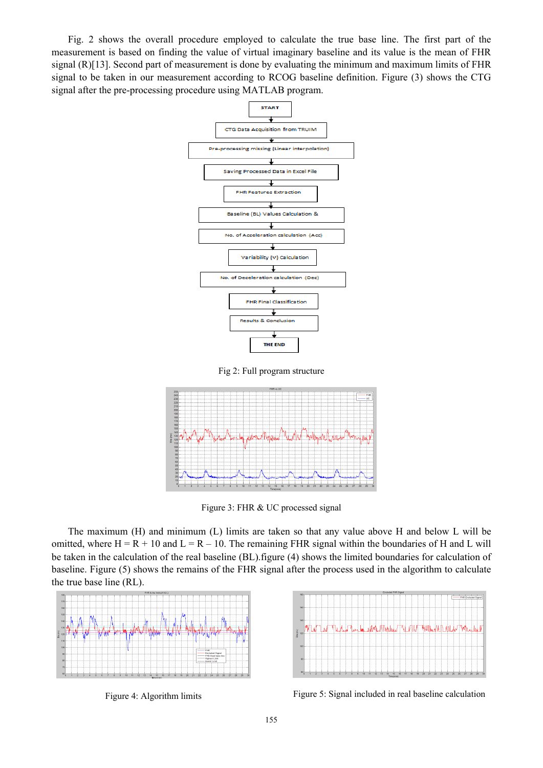Fig. 2 shows the overall procedure employed to calculate the true base line. The first part of the measurement is based on finding the value of virtual imaginary baseline and its value is the mean of FHR signal (R)[13]. Second part of measurement is done by evaluating the minimum and maximum limits of FHR signal to be taken in our measurement according to RCOG baseline definition. Figure (3) shows the CTG signal after the pre-processing procedure using MATLAB program.







Figure 3: FHR & UC processed signal

The maximum (H) and minimum (L) limits are taken so that any value above H and below L will be omitted, where  $H = R + 10$  and  $L = R - 10$ . The remaining FHR signal within the boundaries of H and L will be taken in the calculation of the real baseline (BL).figure (4) shows the limited boundaries for calculation of baseline. Figure (5) shows the remains of the FHR signal after the process used in the algorithm to calculate the true base line (RL).





Figure 4: Algorithm limits Figure 5: Signal included in real baseline calculation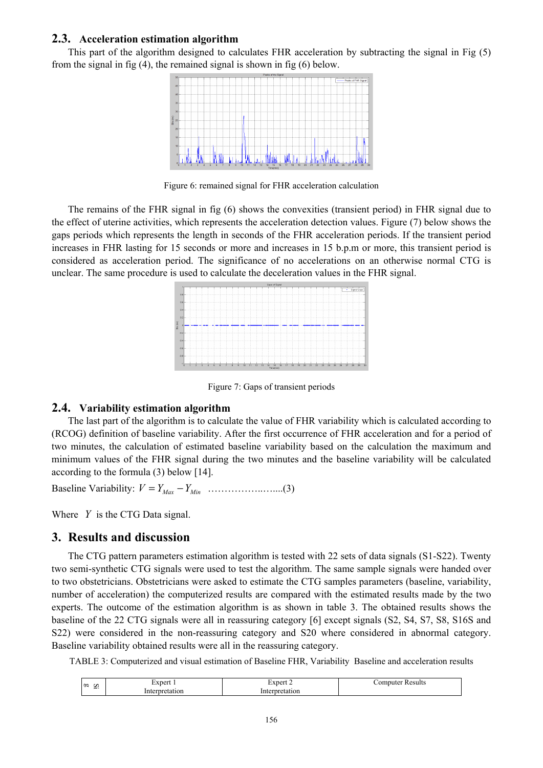#### **2.3. Acceleration estimation algorithm**

This part of the algorithm designed to calculates FHR acceleration by subtracting the signal in Fig (5) from the signal in fig (4), the remained signal is shown in fig (6) below.



Figure 6: remained signal for FHR acceleration calculation

The remains of the FHR signal in fig (6) shows the convexities (transient period) in FHR signal due to the effect of uterine activities, which represents the acceleration detection values. Figure (7) below shows the gaps periods which represents the length in seconds of the FHR acceleration periods. If the transient period increases in FHR lasting for 15 seconds or more and increases in 15 b.p.m or more, this transient period is considered as acceleration period. The significance of no accelerations on an otherwise normal CTG is unclear. The same procedure is used to calculate the deceleration values in the FHR signal.



Figure 7: Gaps of transient periods

#### **2.4. Variability estimation algorithm**

The last part of the algorithm is to calculate the value of FHR variability which is calculated according to (RCOG) definition of baseline variability. After the first occurrence of FHR acceleration and for a period of two minutes, the calculation of estimated baseline variability based on the calculation the maximum and minimum values of the FHR signal during the two minutes and the baseline variability will be calculated according to the formula (3) below [14].

Baseline Variability:  $V = Y_{Max} - Y_{Min}$  …………………....(3)

Where *Y* is the CTG Data signal.

#### **3. Results and discussion**

The CTG pattern parameters estimation algorithm is tested with 22 sets of data signals (S1-S22). Twenty two semi-synthetic CTG signals were used to test the algorithm. The same sample signals were handed over to two obstetricians. Obstetricians were asked to estimate the CTG samples parameters (baseline, variability, number of acceleration) the computerized results are compared with the estimated results made by the two experts. The outcome of the estimation algorithm is as shown in table 3. The obtained results shows the baseline of the 22 CTG signals were all in reassuring category [6] except signals (S2, S4, S7, S8, S16S and S22) were considered in the non-reassuring category and S20 where considered in abnormal category. Baseline variability obtained results were all in the reassuring category.

TABLE 3: Computerized and visual estimation of Baseline FHR, Variability Baseline and acceleration results

| l 00     |                               | $\vert$ vpert $\vert$ | Results  |
|----------|-------------------------------|-----------------------|----------|
| $\sigma$ | $\triangle$ XDer <sup>+</sup> |                       | computer |
| $\sim$   | atıon<br>דרי                  | Interpretation        |          |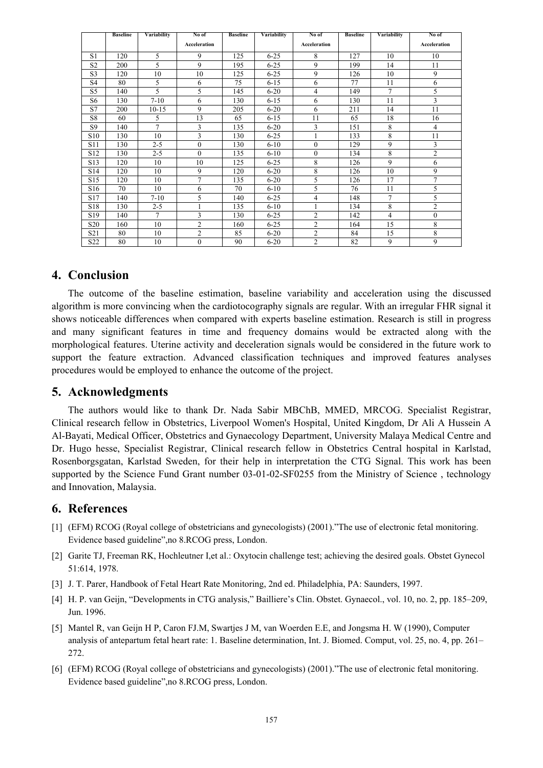|                 | <b>Baseline</b> | Variability | No of               | <b>Baseline</b> | Variabilitv | No of               | <b>Baseline</b> | Variability    | No of          |
|-----------------|-----------------|-------------|---------------------|-----------------|-------------|---------------------|-----------------|----------------|----------------|
|                 |                 |             | <b>Acceleration</b> |                 |             | <b>Acceleration</b> |                 |                | Acceleration   |
| S1              | 120             | 5           | 9                   | 125             | $6 - 25$    | 8                   | 127             | 10             | 10             |
| S <sub>2</sub>  | 200             | 5           | 9                   | 195             | $6 - 25$    | 9                   | 199             | 14             | 11             |
| S <sub>3</sub>  | 120             | 10          | 10                  | 125             | $6 - 25$    | 9                   | 126             | 10             | 9              |
| S <sub>4</sub>  | 80              | 5           | 6                   | 75              | $6 - 15$    | 6                   | 77              | 11             | 6              |
| S5              | 140             | 5           | 5                   | 145             | $6 - 20$    | 4                   | 149             | $\tau$         | 5              |
| S6              | 130             | $7 - 10$    | 6                   | 130             | $6 - 15$    | 6                   | 130             | 11             | 3              |
| S7              | 200             | $10 - 15$   | 9                   | 205             | $6 - 20$    | 6                   | 211             | 14             | 11             |
| S8              | 60              | 5           | 13                  | 65              | $6 - 15$    | 11                  | 65              | 18             | 16             |
| S9              | 140             | 7           | 3                   | 135             | $6 - 20$    | 3                   | 151             | 8              | 4              |
| S <sub>10</sub> | 130             | 10          | 3                   | 130             | $6 - 25$    |                     | 133             | 8              | 11             |
| S11             | 130             | $2 - 5$     | $\mathbf{0}$        | 130             | $6 - 10$    | $\boldsymbol{0}$    | 129             | 9              | 3              |
| S12             | 130             | $2 - 5$     | $\theta$            | 135             | $6 - 10$    | $\boldsymbol{0}$    | 134             | 8              | $\overline{c}$ |
| S13             | 120             | 10          | 10                  | 125             | $6 - 25$    | 8                   | 126             | 9              | 6              |
| S14             | 120             | 10          | 9                   | 120             | $6 - 20$    | 8                   | 126             | 10             | 9              |
| S <sub>15</sub> | 120             | 10          | $\overline{7}$      | 135             | $6 - 20$    | 5                   | 126             | 17             | $\overline{7}$ |
| S <sub>16</sub> | 70              | 10          | 6                   | 70              | $6 - 10$    | 5                   | 76              | 11             | 5              |
| S17             | 140             | $7-10$      | 5                   | 140             | $6 - 25$    | 4                   | 148             | $\overline{7}$ | 5              |
| S18             | 130             | $2 - 5$     | 1                   | 135             | $6 - 10$    |                     | 134             | 8              | $\overline{c}$ |
| S <sub>19</sub> | 140             | 7           | 3                   | 130             | $6 - 25$    | $\overline{c}$      | 142             | 4              | $\mathbf{0}$   |
| S <sub>20</sub> | 160             | 10          | $\overline{2}$      | 160             | $6 - 25$    | $\overline{c}$      | 164             | 15             | 8              |
| S <sub>21</sub> | 80              | 10          | $\overline{2}$      | 85              | $6 - 20$    | $\overline{c}$      | 84              | 15             | 8              |
| S <sub>22</sub> | 80              | 10          | $\theta$            | 90              | $6 - 20$    | $\overline{c}$      | 82              | 9              | 9              |

# **4. Conclusion**

The outcome of the baseline estimation, baseline variability and acceleration using the discussed algorithm is more convincing when the cardiotocography signals are regular. With an irregular FHR signal it shows noticeable differences when compared with experts baseline estimation. Research is still in progress and many significant features in time and frequency domains would be extracted along with the morphological features. Uterine activity and deceleration signals would be considered in the future work to support the feature extraction. Advanced classification techniques and improved features analyses procedures would be employed to enhance the outcome of the project.

#### **5. Acknowledgments**

The authors would like to thank Dr. Nada Sabir MBChB, MMED, MRCOG. Specialist Registrar, Clinical research fellow in Obstetrics, Liverpool Women's Hospital, United Kingdom, Dr Ali A Hussein A Al-Bayati, Medical Officer, Obstetrics and Gynaecology Department, University Malaya Medical Centre and Dr. Hugo hesse, Specialist Registrar, Clinical research fellow in Obstetrics Central hospital in Karlstad, Rosenborgsgatan, Karlstad Sweden, for their help in interpretation the CTG Signal. This work has been supported by the Science Fund Grant number 03-01-02-SF0255 from the Ministry of Science, technology and Innovation, Malaysia.

## **6. References**

- [1] (EFM) RCOG (Royal college of obstetricians and gynecologists) (2001)."The use of electronic fetal monitoring. Evidence based guideline",no 8.RCOG press, London.
- [2] Garite TJ, Freeman RK, Hochleutner I,et al.: Oxytocin challenge test; achieving the desired goals. Obstet Gynecol 51:614, 1978.
- [3] J. T. Parer, Handbook of Fetal Heart Rate Monitoring, 2nd ed. Philadelphia, PA: Saunders, 1997.
- [4] H. P. van Geijn, "Developments in CTG analysis," Bailliere's Clin. Obstet. Gynaecol., vol. 10, no. 2, pp. 185–209, Jun. 1996.
- [5] Mantel R, van Geijn H P, Caron FJ.M, Swartjes J M, van Woerden E.E, and Jongsma H. W (1990), Computer analysis of antepartum fetal heart rate: 1. Baseline determination, Int. J. Biomed. Comput, vol. 25, no. 4, pp. 261– 272.
- [6] (EFM) RCOG (Royal college of obstetricians and gynecologists) (2001)."The use of electronic fetal monitoring. Evidence based guideline",no 8.RCOG press, London.